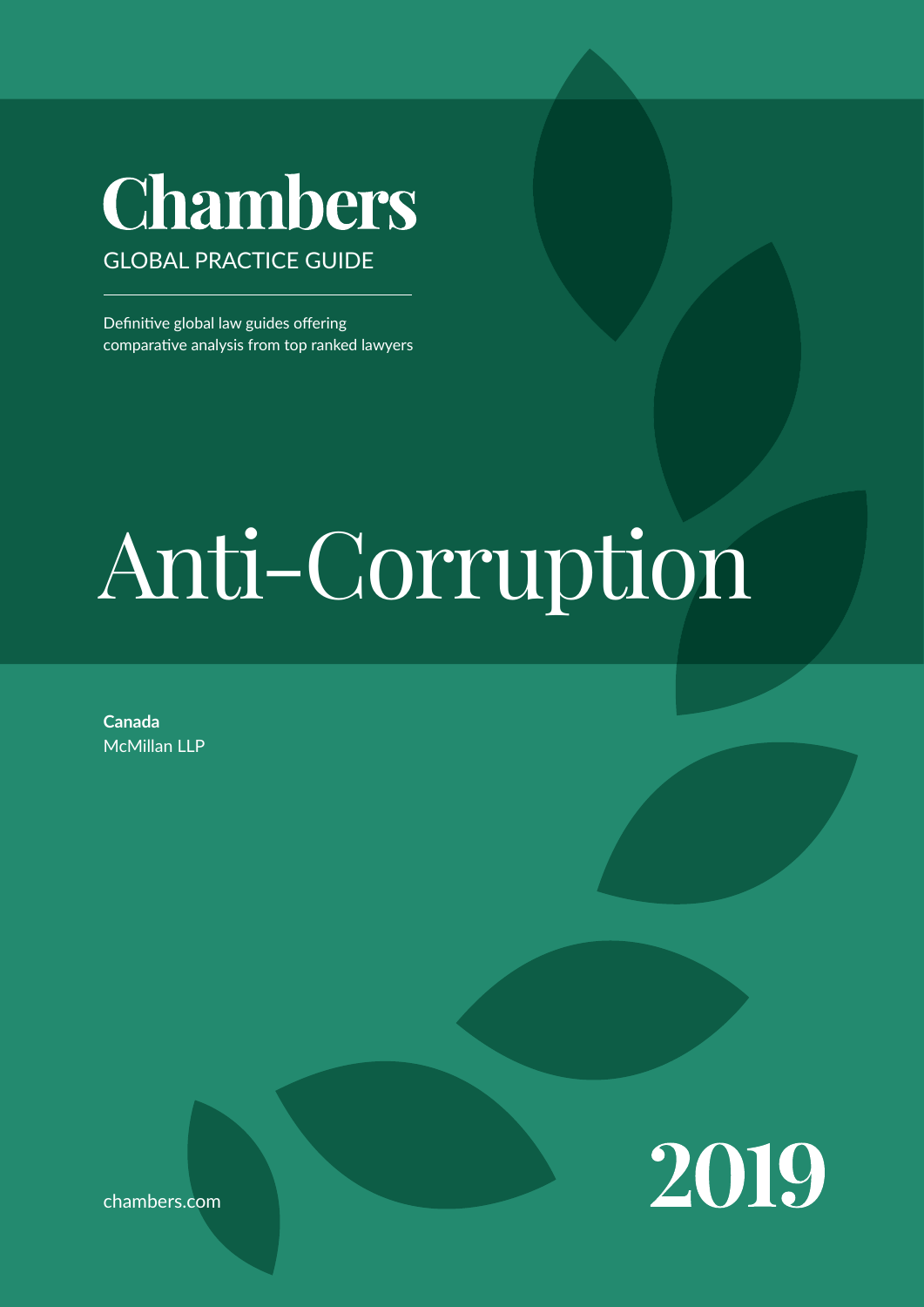## Chambers GLOBAL PRACTICE GUIDE

Definitive global law guides offering comparative analysis from top ranked lawyers

# Anti-Corruption

**Canada** McMillan LLP



chambers.com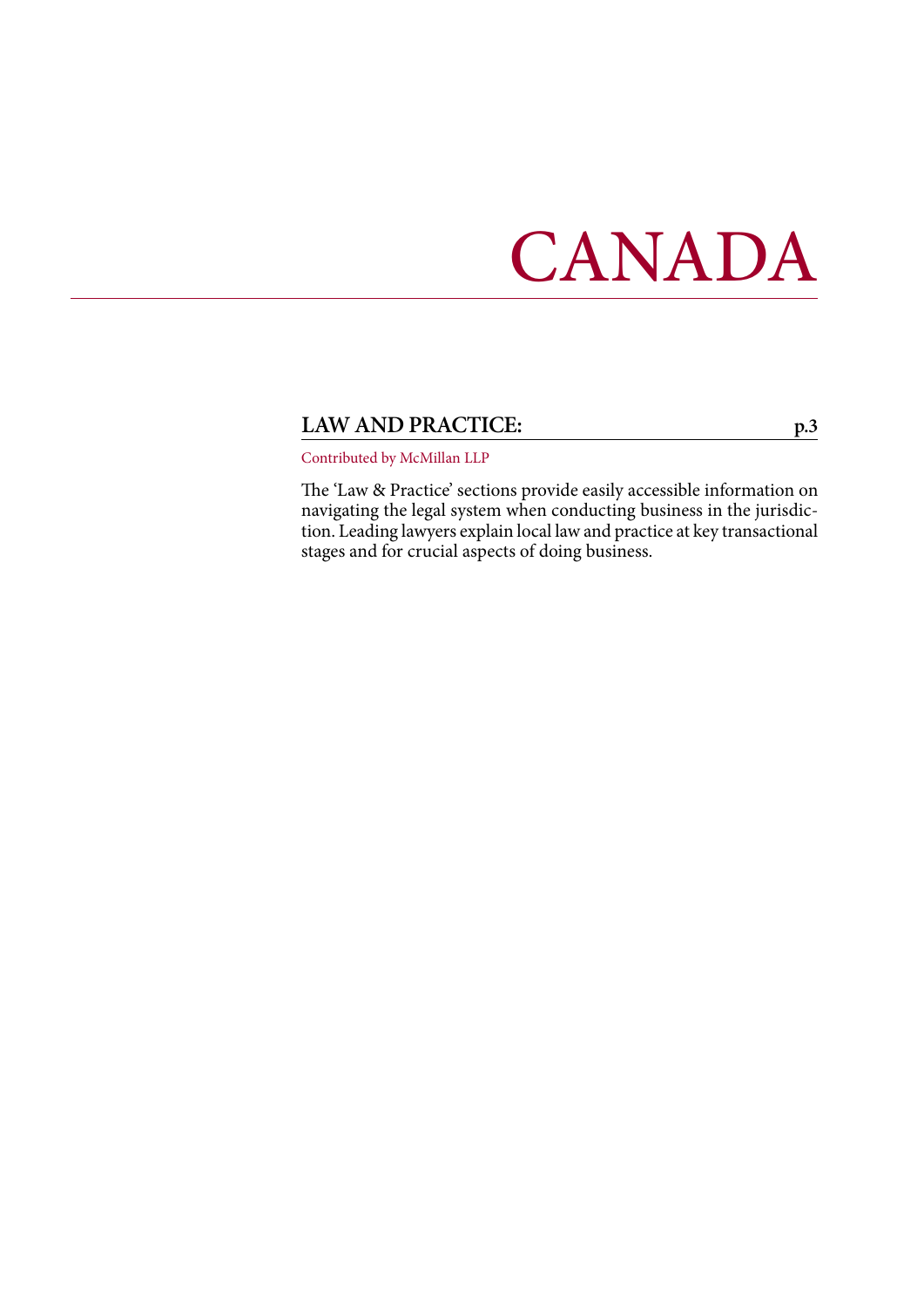# CANADA

#### **LAW AND PRACTICE: [p.3](#page-2-0)**

Contributed by McMillan LLP

The 'Law & Practice' sections provide easily accessible information on navigating the legal system when conducting business in the jurisdiction. Leading lawyers explain local law and practice at key transactional stages and for crucial aspects of doing business.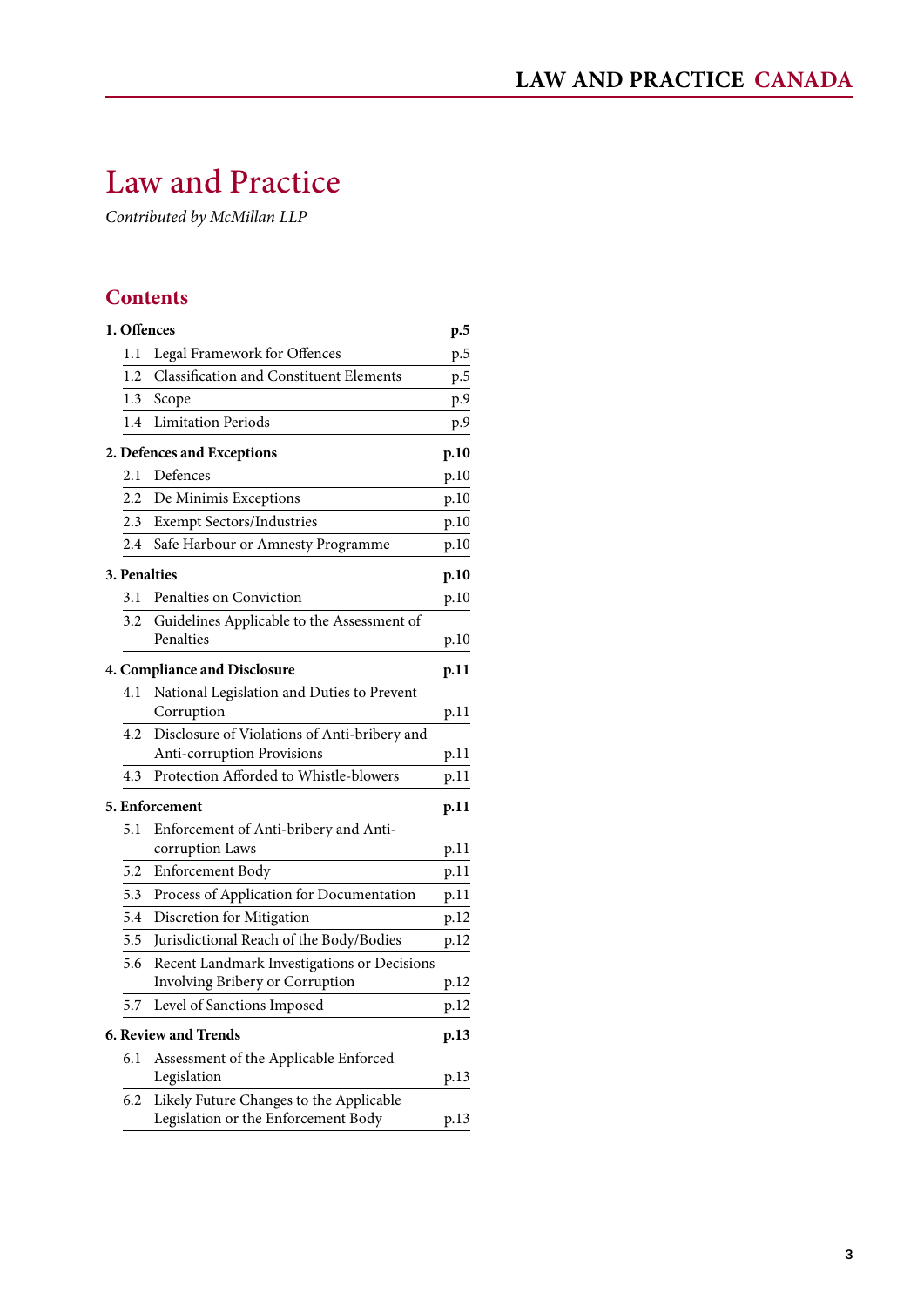### <span id="page-2-0"></span>Law and Practice

*Contributed by McMillan LLP*

#### **Contents**

| 1. Offences |                                                                                | p.5  |
|-------------|--------------------------------------------------------------------------------|------|
| 1.1         | Legal Framework for Offences                                                   | p.5  |
| 1.2         | <b>Classification and Constituent Elements</b>                                 | p.5  |
| 1.3         | Scope                                                                          | p.9  |
| 1.4         | <b>Limitation Periods</b>                                                      | p.9  |
|             | 2. Defences and Exceptions                                                     | p.10 |
| 2.1         | Defences                                                                       | p.10 |
| 2.2         | De Minimis Exceptions                                                          | p.10 |
| 2.3         | <b>Exempt Sectors/Industries</b>                                               | p.10 |
| 2.4         | Safe Harbour or Amnesty Programme                                              | p.10 |
|             | <b>3. Penalties</b>                                                            | p.10 |
| 3.1         | Penalties on Conviction                                                        | p.10 |
| 3.2         | Guidelines Applicable to the Assessment of<br>Penalties                        | p.10 |
|             | <b>4. Compliance and Disclosure</b>                                            | p.11 |
| 4.1         | National Legislation and Duties to Prevent<br>Corruption                       | p.11 |
| 4.2         | Disclosure of Violations of Anti-bribery and<br>Anti-corruption Provisions     | p.11 |
| 4.3         | Protection Afforded to Whistle-blowers                                         | p.11 |
|             | 5. Enforcement                                                                 | p.11 |
| 5.1         | Enforcement of Anti-bribery and Anti-                                          |      |
|             | corruption Laws                                                                | p.11 |
| 5.2         | Enforcement Body                                                               | p.11 |
| 5.3         | Process of Application for Documentation                                       | p.11 |
| 5.4         | Discretion for Mitigation                                                      | p.12 |
| 5.5         | Jurisdictional Reach of the Body/Bodies                                        | p.12 |
| 5.6         | Recent Landmark Investigations or Decisions<br>Involving Bribery or Corruption | p.12 |
| 5.7         | Level of Sanctions Imposed                                                     | p.12 |
|             | <b>6. Review and Trends</b>                                                    | p.13 |
| 6.1         | Assessment of the Applicable Enforced                                          |      |
|             | Legislation                                                                    | p.13 |
| 6.2         | Likely Future Changes to the Applicable<br>Legislation or the Enforcement Body | p.13 |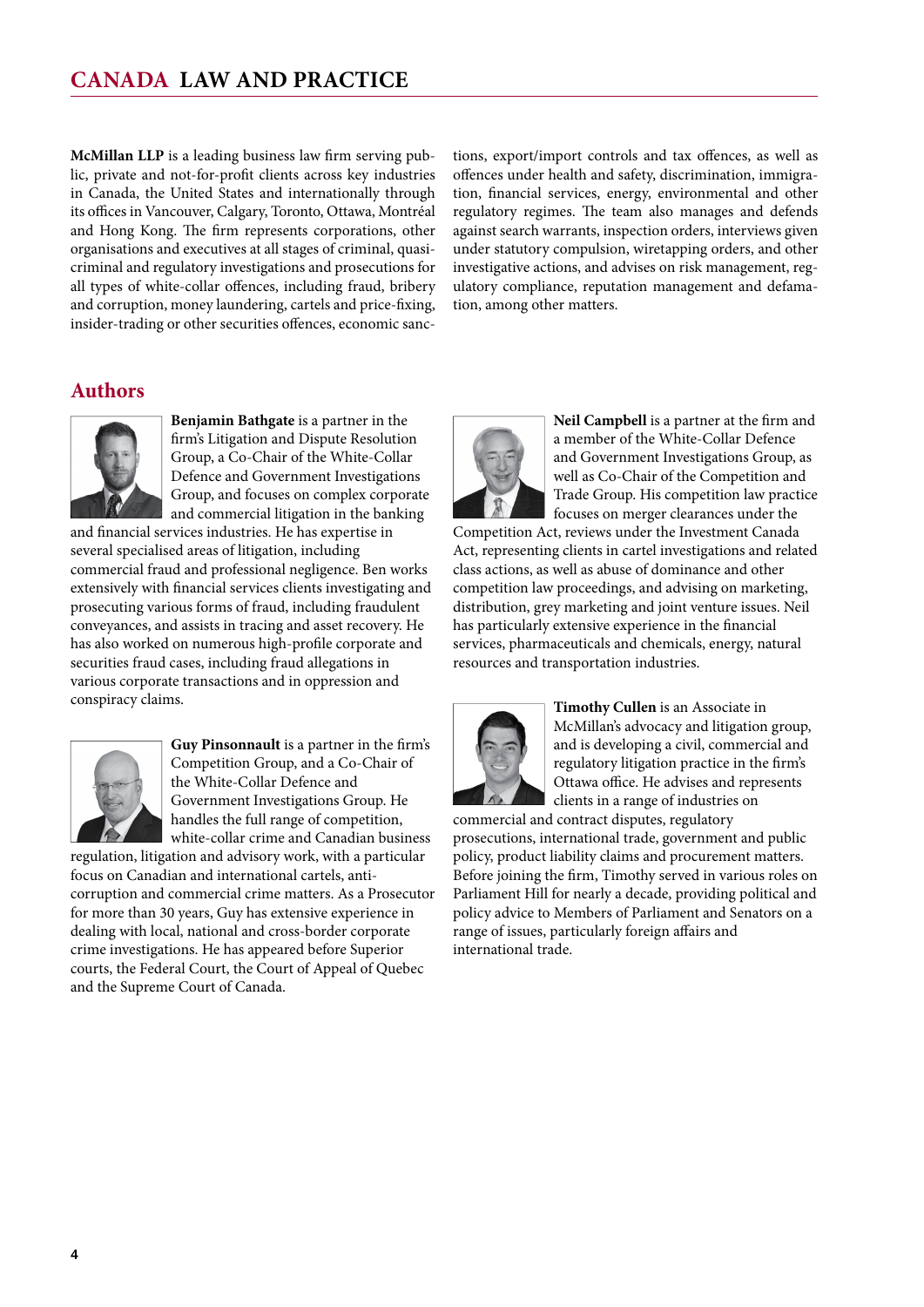**McMillan LLP** is a leading business law firm serving public, private and not-for-profit clients across key industries in Canada, the United States and internationally through its offices in Vancouver, Calgary, Toronto, Ottawa, Montréal and Hong Kong. The firm represents corporations, other organisations and executives at all stages of criminal, quasicriminal and regulatory investigations and prosecutions for all types of white-collar offences, including fraud, bribery and corruption, money laundering, cartels and price-fixing, insider-trading or other securities offences, economic sanctions, export/import controls and tax offences, as well as offences under health and safety, discrimination, immigration, financial services, energy, environmental and other regulatory regimes. The team also manages and defends against search warrants, inspection orders, interviews given under statutory compulsion, wiretapping orders, and other investigative actions, and advises on risk management, regulatory compliance, reputation management and defamation, among other matters.

#### **authors**



**Benjamin Bathgate** is a partner in the firm's Litigation and Dispute Resolution Group, a Co-Chair of the White-Collar Defence and Government Investigations Group, and focuses on complex corporate and commercial litigation in the banking

and financial services industries. He has expertise in several specialised areas of litigation, including commercial fraud and professional negligence. Ben works extensively with financial services clients investigating and prosecuting various forms of fraud, including fraudulent conveyances, and assists in tracing and asset recovery. He has also worked on numerous high-profile corporate and securities fraud cases, including fraud allegations in various corporate transactions and in oppression and conspiracy claims.



**Guy Pinsonnault** is a partner in the firm's Competition Group, and a Co-Chair of the White-Collar Defence and Government Investigations Group. He handles the full range of competition, white-collar crime and Canadian business

regulation, litigation and advisory work, with a particular focus on Canadian and international cartels, anticorruption and commercial crime matters. As a Prosecutor for more than 30 years, Guy has extensive experience in dealing with local, national and cross-border corporate crime investigations. He has appeared before Superior courts, the Federal Court, the Court of Appeal of Quebec and the Supreme Court of Canada.



Neil Campbell is a partner at the firm and a member of the White-Collar Defence and Government Investigations Group, as well as Co-Chair of the Competition and Trade Group. His competition law practice focuses on merger clearances under the

Competition Act, reviews under the Investment Canada Act, representing clients in cartel investigations and related class actions, as well as abuse of dominance and other competition law proceedings, and advising on marketing, distribution, grey marketing and joint venture issues. Neil has particularly extensive experience in the financial services, pharmaceuticals and chemicals, energy, natural resources and transportation industries.



**timothy cullen** is an Associate in McMillan's advocacy and litigation group, and is developing a civil, commercial and regulatory litigation practice in the firm's Ottawa office. He advises and represents clients in a range of industries on

commercial and contract disputes, regulatory prosecutions, international trade, government and public policy, product liability claims and procurement matters. Before joining the firm, Timothy served in various roles on Parliament Hill for nearly a decade, providing political and policy advice to Members of Parliament and Senators on a range of issues, particularly foreign affairs and international trade.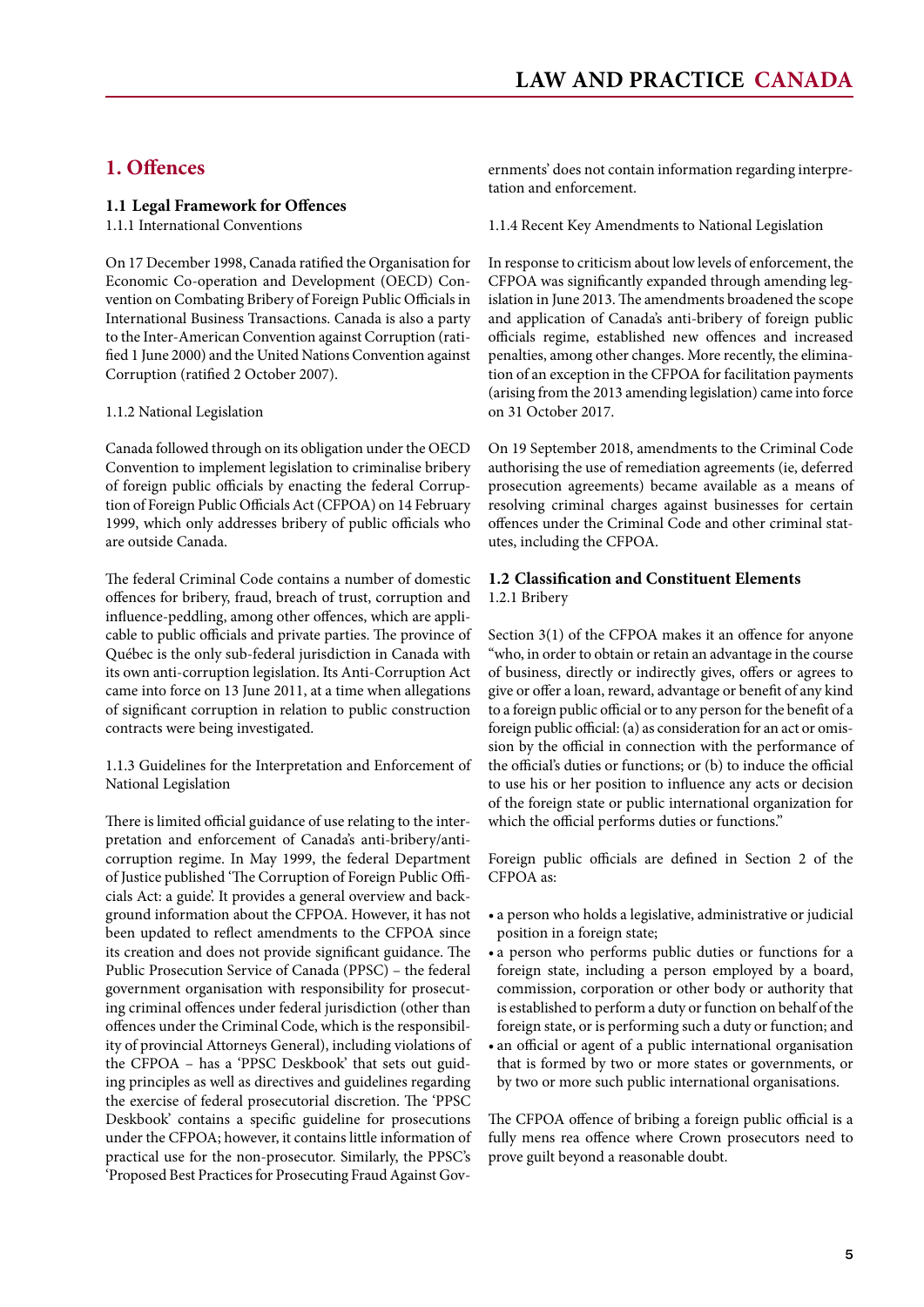#### <span id="page-4-0"></span>**1. Offences**

#### **1.1 Legal Framework for Offences**

1.1.1 International Conventions

On 17 December 1998, Canada ratified the Organisation for Economic Co-operation and Development (OECD) Convention on Combating Bribery of Foreign Public Officials in International Business Transactions. Canada is also a party to the Inter-American Convention against Corruption (ratified 1 June 2000) and the United Nations Convention against Corruption (ratified 2 October 2007).

#### 1.1.2 National Legislation

Canada followed through on its obligation under the OECD Convention to implement legislation to criminalise bribery of foreign public officials by enacting the federal Corruption of Foreign Public Officials Act (CFPOA) on 14 February 1999, which only addresses bribery of public officials who are outside Canada.

The federal Criminal Code contains a number of domestic offences for bribery, fraud, breach of trust, corruption and influence-peddling, among other offences, which are applicable to public officials and private parties. The province of Québec is the only sub-federal jurisdiction in Canada with its own anti-corruption legislation. Its Anti-Corruption Act came into force on 13 June 2011, at a time when allegations of significant corruption in relation to public construction contracts were being investigated.

1.1.3 Guidelines for the Interpretation and Enforcement of National Legislation

There is limited official guidance of use relating to the interpretation and enforcement of Canada's anti-bribery/anticorruption regime. In May 1999, the federal Department of Justice published 'The Corruption of Foreign Public Officials Act: a guide'. It provides a general overview and background information about the CFPOA. However, it has not been updated to reflect amendments to the CFPOA since its creation and does not provide significant guidance. The Public Prosecution Service of Canada (PPSC) – the federal government organisation with responsibility for prosecuting criminal offences under federal jurisdiction (other than offences under the Criminal Code, which is the responsibility of provincial Attorneys General), including violations of the CFPOA – has a 'PPSC Deskbook' that sets out guiding principles as well as directives and guidelines regarding the exercise of federal prosecutorial discretion. The 'PPSC Deskbook' contains a specific guideline for prosecutions under the CFPOA; however, it contains little information of practical use for the non-prosecutor. Similarly, the PPSC's 'Proposed Best Practices for Prosecuting Fraud Against Governments' does not contain information regarding interpretation and enforcement.

1.1.4 Recent Key Amendments to National Legislation

In response to criticism about low levels of enforcement, the CFPOA was significantly expanded through amending legislation in June 2013. The amendments broadened the scope and application of Canada's anti-bribery of foreign public officials regime, established new offences and increased penalties, among other changes. More recently, the elimination of an exception in the CFPOA for facilitation payments (arising from the 2013 amending legislation) came into force on 31 October 2017.

On 19 September 2018, amendments to the Criminal Code authorising the use of remediation agreements (ie, deferred prosecution agreements) became available as a means of resolving criminal charges against businesses for certain offences under the Criminal Code and other criminal statutes, including the CFPOA.

#### **1.2 Classification and Constituent Elements** 1.2.1 Bribery

Section 3(1) of the CFPOA makes it an offence for anyone "who, in order to obtain or retain an advantage in the course of business, directly or indirectly gives, offers or agrees to give or offer a loan, reward, advantage or benefit of any kind to a foreign public official or to any person for the benefit of a foreign public official: (a) as consideration for an act or omission by the official in connection with the performance of the official's duties or functions; or (b) to induce the official to use his or her position to influence any acts or decision of the foreign state or public international organization for which the official performs duties or functions."

Foreign public officials are defined in Section 2 of the CFPOA as:

- • a person who holds a legislative, administrative or judicial position in a foreign state;
- a person who performs public duties or functions for a foreign state, including a person employed by a board, commission, corporation or other body or authority that is established to perform a duty or function on behalf of the foreign state, or is performing such a duty or function; and
- an official or agent of a public international organisation that is formed by two or more states or governments, or by two or more such public international organisations.

The CFPOA offence of bribing a foreign public official is a fully mens rea offence where Crown prosecutors need to prove guilt beyond a reasonable doubt.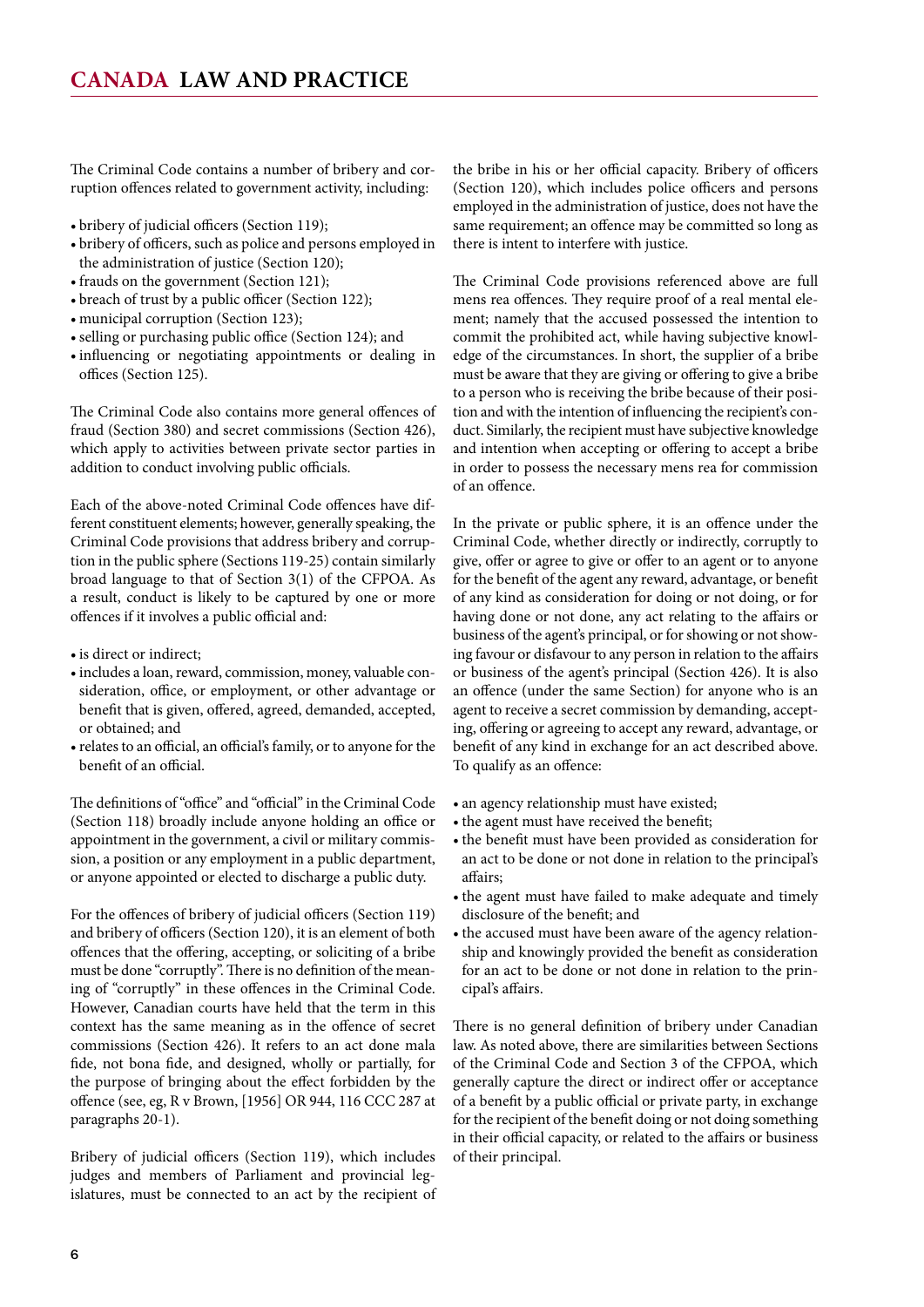The Criminal Code contains a number of bribery and corruption offences related to government activity, including:

- • bribery of judicial officers (Section 119);
- • bribery of officers, such as police and persons employed in the administration of justice (Section 120);
- frauds on the government (Section 121);
- breach of trust by a public officer (Section 122);
- municipal corruption (Section 123);
- • selling or purchasing public office (Section 124); and
- • influencing or negotiating appointments or dealing in offices (Section 125).

The Criminal Code also contains more general offences of fraud (Section 380) and secret commissions (Section 426), which apply to activities between private sector parties in addition to conduct involving public officials.

Each of the above-noted Criminal Code offences have different constituent elements; however, generally speaking, the Criminal Code provisions that address bribery and corruption in the public sphere (Sections 119-25) contain similarly broad language to that of Section 3(1) of the CFPOA. As a result, conduct is likely to be captured by one or more offences if it involves a public official and:

- is direct or indirect;
- $\bullet$  includes a loan, reward, commission, money, valuable consideration, office, or employment, or other advantage or benefit that is given, offered, agreed, demanded, accepted, or obtained; and
- • relates to an official, an official's family, or to anyone for the benefit of an official.

The definitions of "office" and "official" in the Criminal Code (Section 118) broadly include anyone holding an office or appointment in the government, a civil or military commission, a position or any employment in a public department, or anyone appointed or elected to discharge a public duty.

For the offences of bribery of judicial officers (Section 119) and bribery of officers (Section 120), it is an element of both offences that the offering, accepting, or soliciting of a bribe must be done "corruptly". There is no definition of the meaning of "corruptly" in these offences in the Criminal Code. However, Canadian courts have held that the term in this context has the same meaning as in the offence of secret commissions (Section 426). It refers to an act done mala fide, not bona fide, and designed, wholly or partially, for the purpose of bringing about the effect forbidden by the offence (see, eg, R v Brown, [1956] OR 944, 116 CCC 287 at paragraphs 20-1).

Bribery of judicial officers (Section 119), which includes judges and members of Parliament and provincial legislatures, must be connected to an act by the recipient of

the bribe in his or her official capacity. Bribery of officers (Section 120), which includes police officers and persons employed in the administration of justice, does not have the same requirement; an offence may be committed so long as there is intent to interfere with justice.

The Criminal Code provisions referenced above are full mens rea offences. They require proof of a real mental element; namely that the accused possessed the intention to commit the prohibited act, while having subjective knowledge of the circumstances. In short, the supplier of a bribe must be aware that they are giving or offering to give a bribe to a person who is receiving the bribe because of their position and with the intention of influencing the recipient's conduct. Similarly, the recipient must have subjective knowledge and intention when accepting or offering to accept a bribe in order to possess the necessary mens rea for commission of an offence.

In the private or public sphere, it is an offence under the Criminal Code, whether directly or indirectly, corruptly to give, offer or agree to give or offer to an agent or to anyone for the benefit of the agent any reward, advantage, or benefit of any kind as consideration for doing or not doing, or for having done or not done, any act relating to the affairs or business of the agent's principal, or for showing or not showing favour or disfavour to any person in relation to the affairs or business of the agent's principal (Section 426). It is also an offence (under the same Section) for anyone who is an agent to receive a secret commission by demanding, accepting, offering or agreeing to accept any reward, advantage, or benefit of any kind in exchange for an act described above. To qualify as an offence:

- an agency relationship must have existed;
- the agent must have received the benefit;
- the benefit must have been provided as consideration for an act to be done or not done in relation to the principal's affairs;
- the agent must have failed to make adequate and timely disclosure of the benefit; and
- the accused must have been aware of the agency relationship and knowingly provided the benefit as consideration for an act to be done or not done in relation to the principal's affairs.

There is no general definition of bribery under Canadian law. As noted above, there are similarities between Sections of the Criminal Code and Section 3 of the CFPOA, which generally capture the direct or indirect offer or acceptance of a benefit by a public official or private party, in exchange for the recipient of the benefit doing or not doing something in their official capacity, or related to the affairs or business of their principal.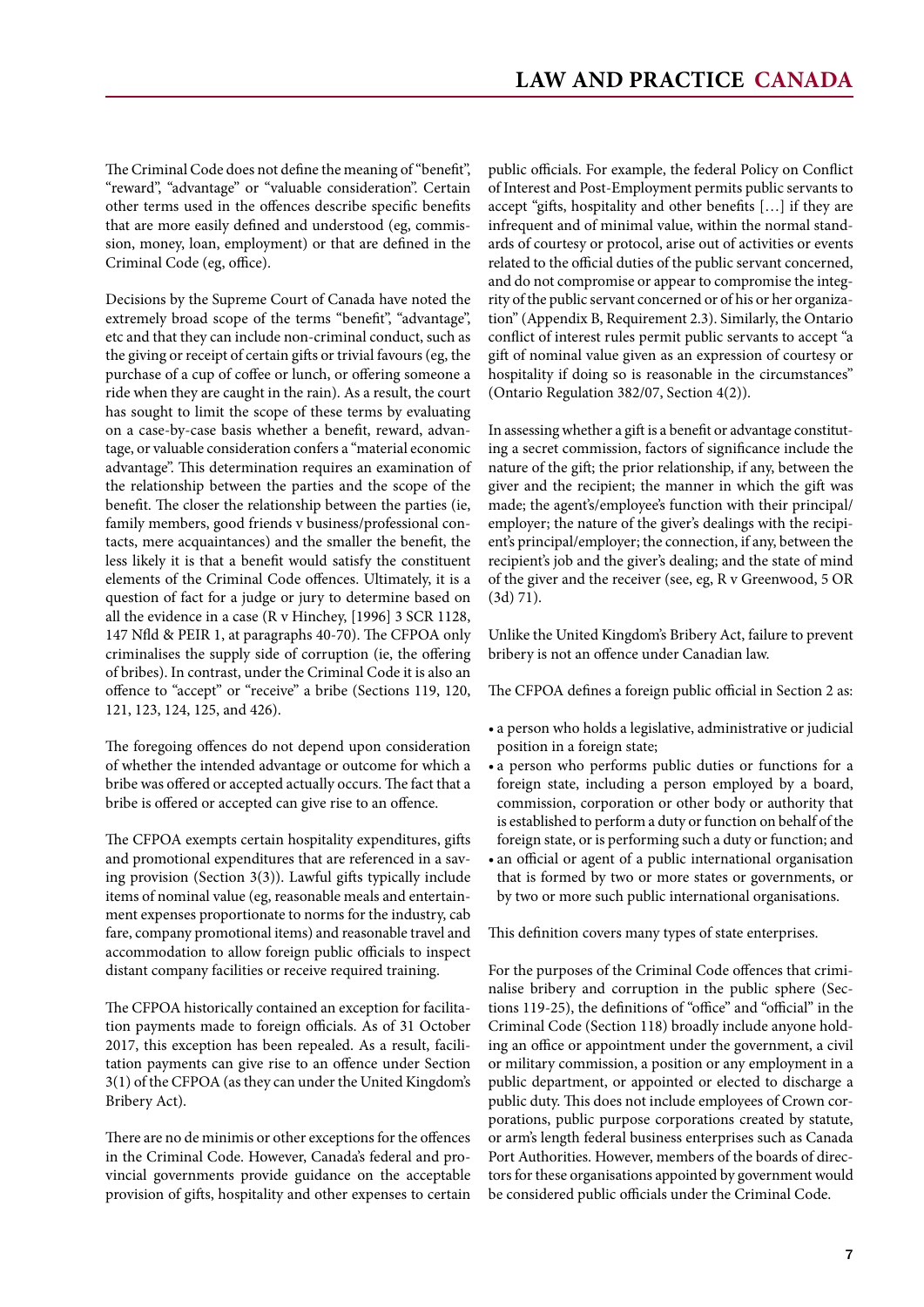The Criminal Code does not define the meaning of "benefit", "reward", "advantage" or "valuable consideration". Certain other terms used in the offences describe specific benefits that are more easily defined and understood (eg, commission, money, loan, employment) or that are defined in the Criminal Code (eg, office).

Decisions by the Supreme Court of Canada have noted the extremely broad scope of the terms "benefit", "advantage", etc and that they can include non-criminal conduct, such as the giving or receipt of certain gifts or trivial favours (eg, the purchase of a cup of coffee or lunch, or offering someone a ride when they are caught in the rain). As a result, the court has sought to limit the scope of these terms by evaluating on a case-by-case basis whether a benefit, reward, advantage, or valuable consideration confers a "material economic advantage". This determination requires an examination of the relationship between the parties and the scope of the benefit. The closer the relationship between the parties (ie, family members, good friends v business/professional contacts, mere acquaintances) and the smaller the benefit, the less likely it is that a benefit would satisfy the constituent elements of the Criminal Code offences. Ultimately, it is a question of fact for a judge or jury to determine based on all the evidence in a case (R v Hinchey, [1996] 3 SCR 1128, 147 Nfld & PEIR 1, at paragraphs 40-70). The CFPOA only criminalises the supply side of corruption (ie, the offering of bribes). In contrast, under the Criminal Code it is also an offence to "accept" or "receive" a bribe (Sections 119, 120, 121, 123, 124, 125, and 426).

The foregoing offences do not depend upon consideration of whether the intended advantage or outcome for which a bribe was offered or accepted actually occurs. The fact that a bribe is offered or accepted can give rise to an offence.

The CFPOA exempts certain hospitality expenditures, gifts and promotional expenditures that are referenced in a saving provision (Section 3(3)). Lawful gifts typically include items of nominal value (eg, reasonable meals and entertainment expenses proportionate to norms for the industry, cab fare, company promotional items) and reasonable travel and accommodation to allow foreign public officials to inspect distant company facilities or receive required training.

The CFPOA historically contained an exception for facilitation payments made to foreign officials. As of 31 October 2017, this exception has been repealed. As a result, facilitation payments can give rise to an offence under Section 3(1) of the CFPOA (as they can under the United Kingdom's Bribery Act).

There are no de minimis or other exceptions for the offences in the Criminal Code. However, Canada's federal and provincial governments provide guidance on the acceptable provision of gifts, hospitality and other expenses to certain public officials. For example, the federal Policy on Conflict of Interest and Post-Employment permits public servants to accept "gifts, hospitality and other benefits […] if they are infrequent and of minimal value, within the normal standards of courtesy or protocol, arise out of activities or events related to the official duties of the public servant concerned, and do not compromise or appear to compromise the integrity of the public servant concerned or of his or her organization" (Appendix B, Requirement 2.3). Similarly, the Ontario conflict of interest rules permit public servants to accept "a gift of nominal value given as an expression of courtesy or hospitality if doing so is reasonable in the circumstances" (Ontario Regulation 382/07, Section 4(2)).

In assessing whether a gift is a benefit or advantage constituting a secret commission, factors of significance include the nature of the gift; the prior relationship, if any, between the giver and the recipient; the manner in which the gift was made; the agent's/employee's function with their principal/ employer; the nature of the giver's dealings with the recipient's principal/employer; the connection, if any, between the recipient's job and the giver's dealing; and the state of mind of the giver and the receiver (see, eg, R v Greenwood, 5 OR (3d) 71).

Unlike the United Kingdom's Bribery Act, failure to prevent bribery is not an offence under Canadian law.

The CFPOA defines a foreign public official in Section 2 as:

- • a person who holds a legislative, administrative or judicial position in a foreign state;
- • a person who performs public duties or functions for a foreign state, including a person employed by a board, commission, corporation or other body or authority that is established to perform a duty or function on behalf of the foreign state, or is performing such a duty or function; and
- an official or agent of a public international organisation that is formed by two or more states or governments, or by two or more such public international organisations.

This definition covers many types of state enterprises.

For the purposes of the Criminal Code offences that criminalise bribery and corruption in the public sphere (Sections 119-25), the definitions of "office" and "official" in the Criminal Code (Section 118) broadly include anyone holding an office or appointment under the government, a civil or military commission, a position or any employment in a public department, or appointed or elected to discharge a public duty. This does not include employees of Crown corporations, public purpose corporations created by statute, or arm's length federal business enterprises such as Canada Port Authorities. However, members of the boards of directors for these organisations appointed by government would be considered public officials under the Criminal Code.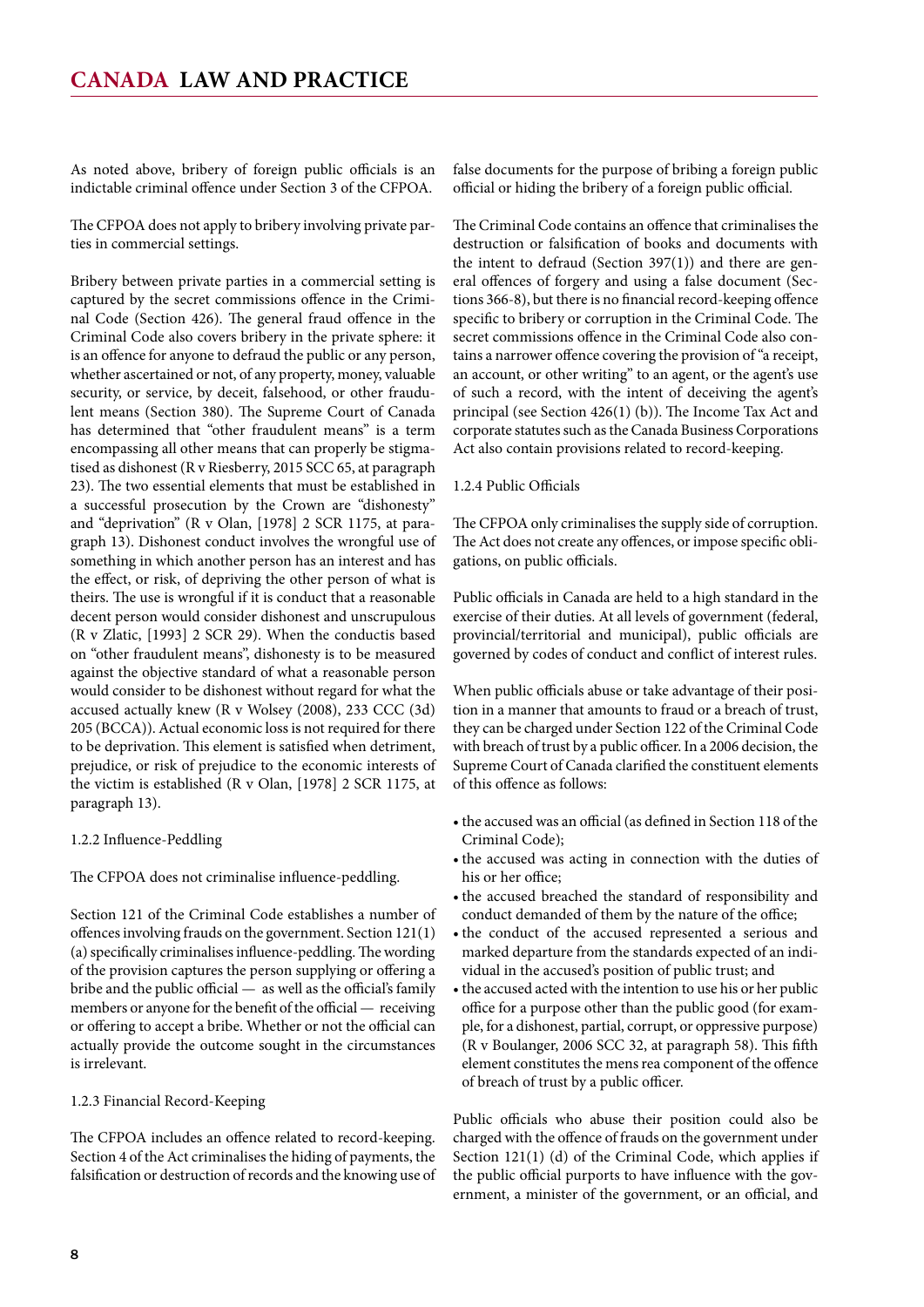As noted above, bribery of foreign public officials is an indictable criminal offence under Section 3 of the CFPOA.

The CFPOA does not apply to bribery involving private parties in commercial settings.

Bribery between private parties in a commercial setting is captured by the secret commissions offence in the Criminal Code (Section 426). The general fraud offence in the Criminal Code also covers bribery in the private sphere: it is an offence for anyone to defraud the public or any person, whether ascertained or not, of any property, money, valuable security, or service, by deceit, falsehood, or other fraudulent means (Section 380). The Supreme Court of Canada has determined that "other fraudulent means" is a term encompassing all other means that can properly be stigmatised as dishonest (R v Riesberry, 2015 SCC 65, at paragraph 23). The two essential elements that must be established in a successful prosecution by the Crown are "dishonesty" and "deprivation" (R v Olan, [1978] 2 SCR 1175, at paragraph 13). Dishonest conduct involves the wrongful use of something in which another person has an interest and has the effect, or risk, of depriving the other person of what is theirs. The use is wrongful if it is conduct that a reasonable decent person would consider dishonest and unscrupulous (R v Zlatic, [1993] 2 SCR 29). When the conductis based on "other fraudulent means", dishonesty is to be measured against the objective standard of what a reasonable person would consider to be dishonest without regard for what the accused actually knew (R v Wolsey (2008), 233 CCC (3d) 205 (BCCA)). Actual economic loss is not required for there to be deprivation. This element is satisfied when detriment, prejudice, or risk of prejudice to the economic interests of the victim is established (R v Olan, [1978] 2 SCR 1175, at paragraph 13).

#### 1.2.2 Influence-Peddling

The CFPOA does not criminalise influence-peddling.

Section 121 of the Criminal Code establishes a number of offences involving frauds on the government. Section 121(1) (a) specifically criminalises influence-peddling. The wording of the provision captures the person supplying or offering a bribe and the public official — as well as the official's family members or anyone for the benefit of the official — receiving or offering to accept a bribe. Whether or not the official can actually provide the outcome sought in the circumstances is irrelevant.

#### 1.2.3 Financial Record-Keeping

The CFPOA includes an offence related to record-keeping. Section 4 of the Act criminalises the hiding of payments, the falsification or destruction of records and the knowing use of false documents for the purpose of bribing a foreign public official or hiding the bribery of a foreign public official.

The Criminal Code contains an offence that criminalises the destruction or falsification of books and documents with the intent to defraud (Section  $397(1)$ ) and there are general offences of forgery and using a false document (Sections 366-8), but there is no financial record-keeping offence specific to bribery or corruption in the Criminal Code. The secret commissions offence in the Criminal Code also contains a narrower offence covering the provision of "a receipt, an account, or other writing" to an agent, or the agent's use of such a record, with the intent of deceiving the agent's principal (see Section 426(1) (b)). The Income Tax Act and corporate statutes such as the Canada Business Corporations Act also contain provisions related to record-keeping.

#### 1.2.4 Public Officials

The CFPOA only criminalises the supply side of corruption. The Act does not create any offences, or impose specific obligations, on public officials.

Public officials in Canada are held to a high standard in the exercise of their duties. At all levels of government (federal, provincial/territorial and municipal), public officials are governed by codes of conduct and conflict of interest rules.

When public officials abuse or take advantage of their position in a manner that amounts to fraud or a breach of trust, they can be charged under Section 122 of the Criminal Code with breach of trust by a public officer. In a 2006 decision, the Supreme Court of Canada clarified the constituent elements of this offence as follows:

- the accused was an official (as defined in Section 118 of the Criminal Code);
- the accused was acting in connection with the duties of his or her office;
- the accused breached the standard of responsibility and conduct demanded of them by the nature of the office;
- the conduct of the accused represented a serious and marked departure from the standards expected of an individual in the accused's position of public trust; and
- the accused acted with the intention to use his or her public office for a purpose other than the public good (for example, for a dishonest, partial, corrupt, or oppressive purpose) (R v Boulanger, 2006 SCC 32, at paragraph 58). This fifth element constitutes the mens rea component of the offence of breach of trust by a public officer.

Public officials who abuse their position could also be charged with the offence of frauds on the government under Section 121(1) (d) of the Criminal Code, which applies if the public official purports to have influence with the government, a minister of the government, or an official, and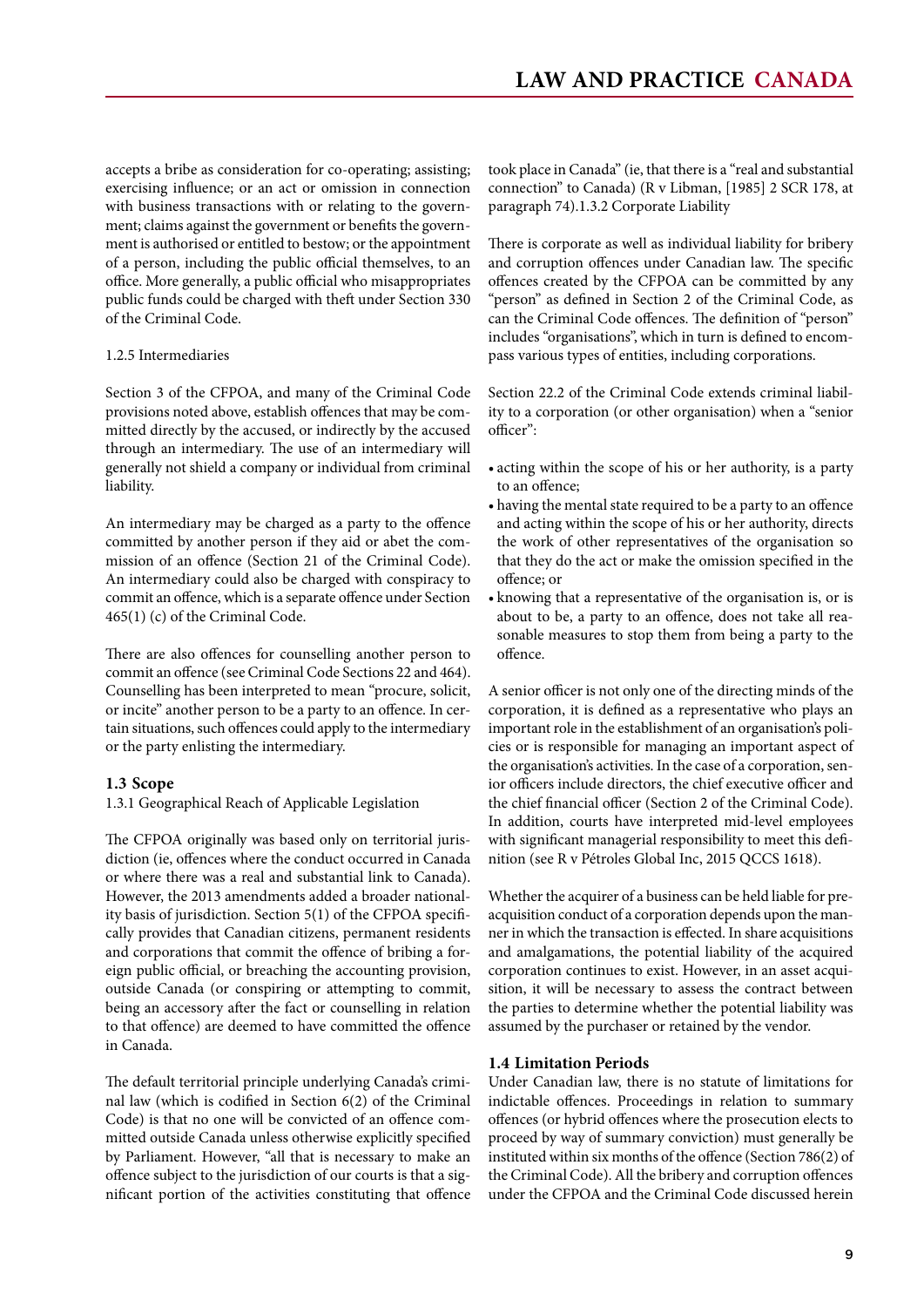<span id="page-8-0"></span>accepts a bribe as consideration for co-operating; assisting; exercising influence; or an act or omission in connection with business transactions with or relating to the government; claims against the government or benefits the government is authorised or entitled to bestow; or the appointment of a person, including the public official themselves, to an office. More generally, a public official who misappropriates public funds could be charged with theft under Section 330 of the Criminal Code.

#### 1.2.5 Intermediaries

Section 3 of the CFPOA, and many of the Criminal Code provisions noted above, establish offences that may be committed directly by the accused, or indirectly by the accused through an intermediary. The use of an intermediary will generally not shield a company or individual from criminal liability.

An intermediary may be charged as a party to the offence committed by another person if they aid or abet the commission of an offence (Section 21 of the Criminal Code). An intermediary could also be charged with conspiracy to commit an offence, which is a separate offence under Section 465(1) (c) of the Criminal Code.

There are also offences for counselling another person to commit an offence (see Criminal Code Sections 22 and 464). Counselling has been interpreted to mean "procure, solicit, or incite" another person to be a party to an offence. In certain situations, such offences could apply to the intermediary or the party enlisting the intermediary.

#### **1.3 Scope**

1.3.1 Geographical Reach of Applicable Legislation

The CFPOA originally was based only on territorial jurisdiction (ie, offences where the conduct occurred in Canada or where there was a real and substantial link to Canada). However, the 2013 amendments added a broader nationality basis of jurisdiction. Section 5(1) of the CFPOA specifically provides that Canadian citizens, permanent residents and corporations that commit the offence of bribing a foreign public official, or breaching the accounting provision, outside Canada (or conspiring or attempting to commit, being an accessory after the fact or counselling in relation to that offence) are deemed to have committed the offence in Canada.

The default territorial principle underlying Canada's criminal law (which is codified in Section 6(2) of the Criminal Code) is that no one will be convicted of an offence committed outside Canada unless otherwise explicitly specified by Parliament. However, "all that is necessary to make an offence subject to the jurisdiction of our courts is that a significant portion of the activities constituting that offence took place in Canada" (ie, that there is a "real and substantial connection" to Canada) (R v Libman, [1985] 2 SCR 178, at paragraph 74).1.3.2 Corporate Liability

There is corporate as well as individual liability for bribery and corruption offences under Canadian law. The specific offences created by the CFPOA can be committed by any "person" as defined in Section 2 of the Criminal Code, as can the Criminal Code offences. The definition of "person" includes "organisations", which in turn is defined to encompass various types of entities, including corporations.

Section 22.2 of the Criminal Code extends criminal liability to a corporation (or other organisation) when a "senior officer":

- acting within the scope of his or her authority, is a party to an offence;
- • having the mental state required to be a party to an offence and acting within the scope of his or her authority, directs the work of other representatives of the organisation so that they do the act or make the omission specified in the offence; or
- • knowing that a representative of the organisation is, or is about to be, a party to an offence, does not take all reasonable measures to stop them from being a party to the offence.

A senior officer is not only one of the directing minds of the corporation, it is defined as a representative who plays an important role in the establishment of an organisation's policies or is responsible for managing an important aspect of the organisation's activities. In the case of a corporation, senior officers include directors, the chief executive officer and the chief financial officer (Section 2 of the Criminal Code). In addition, courts have interpreted mid-level employees with significant managerial responsibility to meet this definition (see R v Pétroles Global Inc, 2015 QCCS 1618).

Whether the acquirer of a business can be held liable for preacquisition conduct of a corporation depends upon the manner in which the transaction is effected. In share acquisitions and amalgamations, the potential liability of the acquired corporation continues to exist. However, in an asset acquisition, it will be necessary to assess the contract between the parties to determine whether the potential liability was assumed by the purchaser or retained by the vendor.

#### **1.4 Limitation Periods**

Under Canadian law, there is no statute of limitations for indictable offences. Proceedings in relation to summary offences (or hybrid offences where the prosecution elects to proceed by way of summary conviction) must generally be instituted within six months of the offence (Section 786(2) of the Criminal Code). All the bribery and corruption offences under the CFPOA and the Criminal Code discussed herein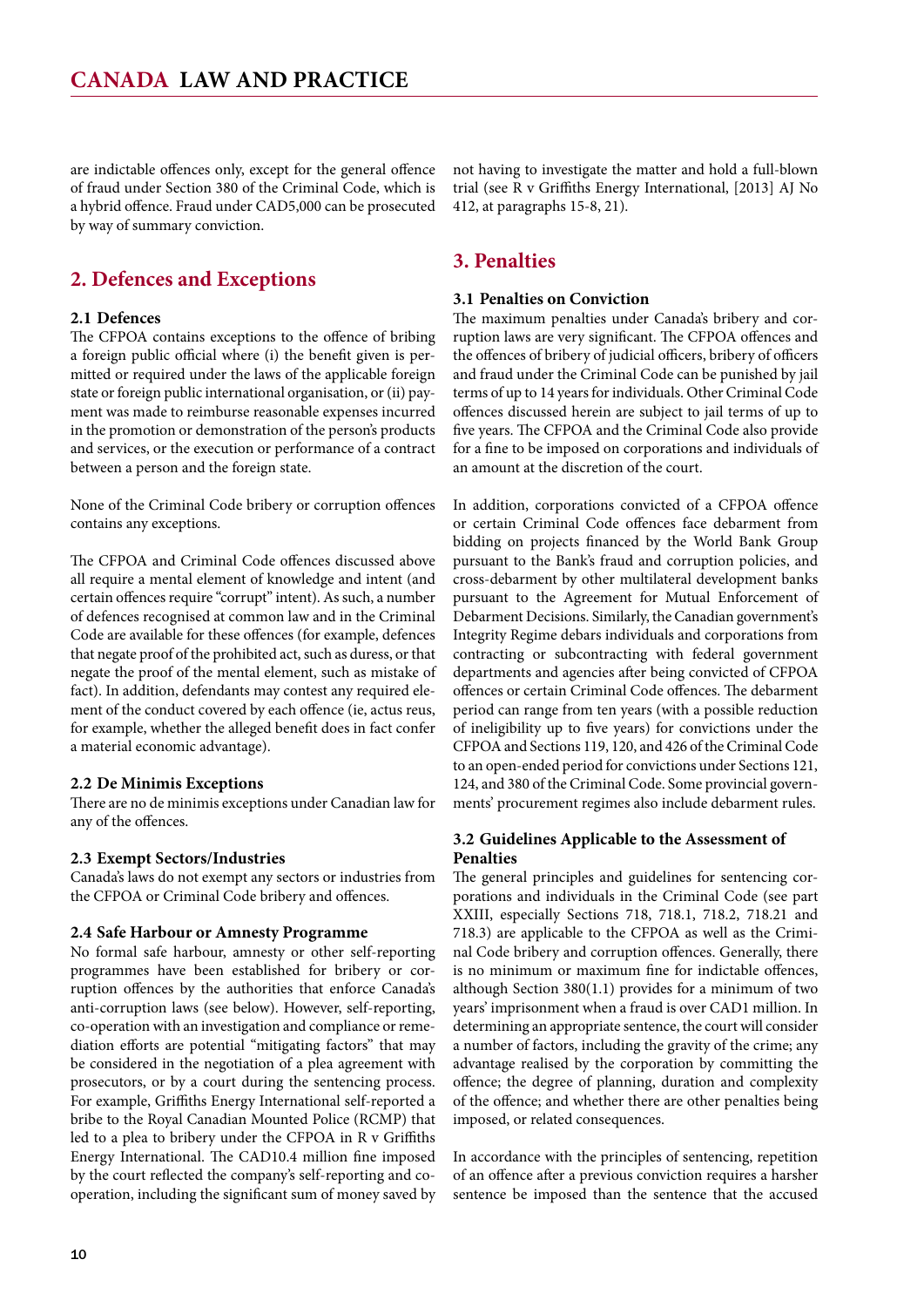<span id="page-9-0"></span>are indictable offences only, except for the general offence of fraud under Section 380 of the Criminal Code, which is a hybrid offence. Fraud under CAD5,000 can be prosecuted by way of summary conviction.

#### **2. Defences and Exceptions**

#### **2.1 Defences**

The CFPOA contains exceptions to the offence of bribing a foreign public official where (i) the benefit given is permitted or required under the laws of the applicable foreign state or foreign public international organisation, or (ii) payment was made to reimburse reasonable expenses incurred in the promotion or demonstration of the person's products and services, or the execution or performance of a contract between a person and the foreign state.

None of the Criminal Code bribery or corruption offences contains any exceptions.

The CFPOA and Criminal Code offences discussed above all require a mental element of knowledge and intent (and certain offences require "corrupt" intent). As such, a number of defences recognised at common law and in the Criminal Code are available for these offences (for example, defences that negate proof of the prohibited act, such as duress, or that negate the proof of the mental element, such as mistake of fact). In addition, defendants may contest any required element of the conduct covered by each offence (ie, actus reus, for example, whether the alleged benefit does in fact confer a material economic advantage).

#### **2.2 De Minimis Exceptions**

There are no de minimis exceptions under Canadian law for any of the offences.

#### **2.3 Exempt Sectors/Industries**

Canada's laws do not exempt any sectors or industries from the CFPOA or Criminal Code bribery and offences.

#### **2.4 Safe Harbour or Amnesty Programme**

No formal safe harbour, amnesty or other self-reporting programmes have been established for bribery or corruption offences by the authorities that enforce Canada's anti-corruption laws (see below). However, self-reporting, co-operation with an investigation and compliance or remediation efforts are potential "mitigating factors" that may be considered in the negotiation of a plea agreement with prosecutors, or by a court during the sentencing process. For example, Griffiths Energy International self-reported a bribe to the Royal Canadian Mounted Police (RCMP) that led to a plea to bribery under the CFPOA in R v Griffiths Energy International. The CAD10.4 million fine imposed by the court reflected the company's self-reporting and cooperation, including the significant sum of money saved by

not having to investigate the matter and hold a full-blown trial (see R v Griffiths Energy International, [2013] AJ No 412, at paragraphs 15-8, 21).

#### **3. Penalties**

#### **3.1 Penalties on Conviction**

The maximum penalties under Canada's bribery and corruption laws are very significant. The CFPOA offences and the offences of bribery of judicial officers, bribery of officers and fraud under the Criminal Code can be punished by jail terms of up to 14 years for individuals. Other Criminal Code offences discussed herein are subject to jail terms of up to five years. The CFPOA and the Criminal Code also provide for a fine to be imposed on corporations and individuals of an amount at the discretion of the court.

In addition, corporations convicted of a CFPOA offence or certain Criminal Code offences face debarment from bidding on projects financed by the World Bank Group pursuant to the Bank's fraud and corruption policies, and cross-debarment by other multilateral development banks pursuant to the Agreement for Mutual Enforcement of Debarment Decisions. Similarly, the Canadian government's Integrity Regime debars individuals and corporations from contracting or subcontracting with federal government departments and agencies after being convicted of CFPOA offences or certain Criminal Code offences. The debarment period can range from ten years (with a possible reduction of ineligibility up to five years) for convictions under the CFPOA and Sections 119, 120, and 426 of the Criminal Code to an open-ended period for convictions under Sections 121, 124, and 380 of the Criminal Code. Some provincial governments' procurement regimes also include debarment rules.

#### **3.2 Guidelines Applicable to the Assessment of Penalties**

The general principles and guidelines for sentencing corporations and individuals in the Criminal Code (see part XXIII, especially Sections 718, 718.1, 718.2, 718.21 and 718.3) are applicable to the CFPOA as well as the Criminal Code bribery and corruption offences. Generally, there is no minimum or maximum fine for indictable offences, although Section 380(1.1) provides for a minimum of two years' imprisonment when a fraud is over CAD1 million. In determining an appropriate sentence, the court will consider a number of factors, including the gravity of the crime; any advantage realised by the corporation by committing the offence; the degree of planning, duration and complexity of the offence; and whether there are other penalties being imposed, or related consequences.

In accordance with the principles of sentencing, repetition of an offence after a previous conviction requires a harsher sentence be imposed than the sentence that the accused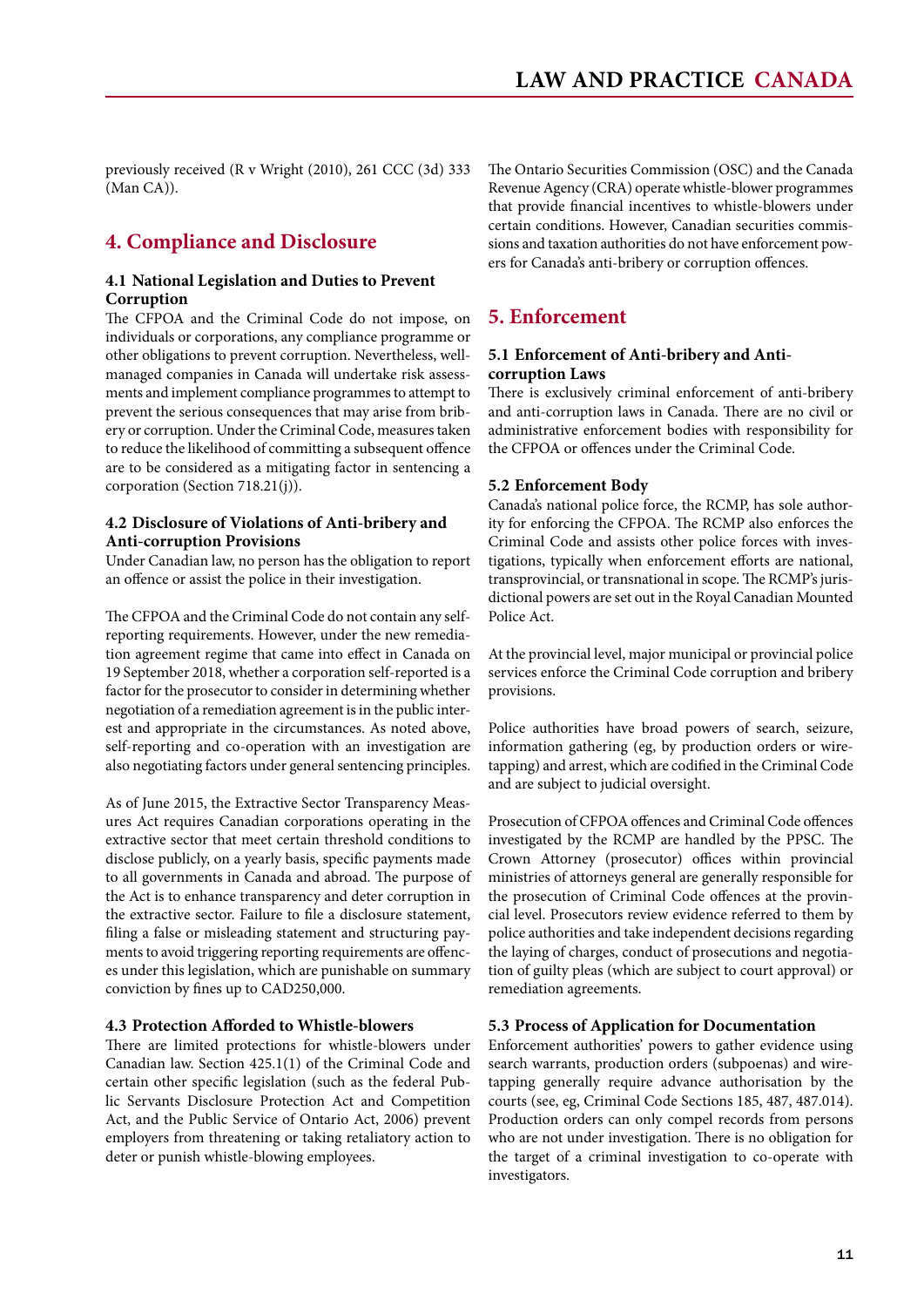<span id="page-10-0"></span>previously received (R v Wright (2010), 261 CCC (3d) 333 (Man CA)).

#### **4. Compliance and Disclosure**

#### **4.1 National Legislation and Duties to Prevent Corruption**

The CFPOA and the Criminal Code do not impose, on individuals or corporations, any compliance programme or other obligations to prevent corruption. Nevertheless, wellmanaged companies in Canada will undertake risk assessments and implement compliance programmes to attempt to prevent the serious consequences that may arise from bribery or corruption. Under the Criminal Code, measures taken to reduce the likelihood of committing a subsequent offence are to be considered as a mitigating factor in sentencing a corporation (Section 718.21(j)).

#### **4.2 Disclosure of Violations of Anti-bribery and Anti-corruption Provisions**

Under Canadian law, no person has the obligation to report an offence or assist the police in their investigation.

The CFPOA and the Criminal Code do not contain any selfreporting requirements. However, under the new remediation agreement regime that came into effect in Canada on 19 September 2018, whether a corporation self-reported is a factor for the prosecutor to consider in determining whether negotiation of a remediation agreement is in the public interest and appropriate in the circumstances. As noted above, self-reporting and co-operation with an investigation are also negotiating factors under general sentencing principles.

As of June 2015, the Extractive Sector Transparency Measures Act requires Canadian corporations operating in the extractive sector that meet certain threshold conditions to disclose publicly, on a yearly basis, specific payments made to all governments in Canada and abroad. The purpose of the Act is to enhance transparency and deter corruption in the extractive sector. Failure to file a disclosure statement, filing a false or misleading statement and structuring payments to avoid triggering reporting requirements are offences under this legislation, which are punishable on summary conviction by fines up to CAD250,000.

#### **4.3 Protection Afforded to Whistle-blowers**

There are limited protections for whistle-blowers under Canadian law. Section 425.1(1) of the Criminal Code and certain other specific legislation (such as the federal Public Servants Disclosure Protection Act and Competition Act, and the Public Service of Ontario Act, 2006) prevent employers from threatening or taking retaliatory action to deter or punish whistle-blowing employees.

The Ontario Securities Commission (OSC) and the Canada Revenue Agency (CRA) operate whistle-blower programmes that provide financial incentives to whistle-blowers under certain conditions. However, Canadian securities commissions and taxation authorities do not have enforcement powers for Canada's anti-bribery or corruption offences.

#### **5. Enforcement**

#### **5.1 Enforcement of Anti-bribery and Anticorruption Laws**

There is exclusively criminal enforcement of anti-bribery and anti-corruption laws in Canada. There are no civil or administrative enforcement bodies with responsibility for the CFPOA or offences under the Criminal Code.

#### **5.2 Enforcement Body**

Canada's national police force, the RCMP, has sole authority for enforcing the CFPOA. The RCMP also enforces the Criminal Code and assists other police forces with investigations, typically when enforcement efforts are national, transprovincial, or transnational in scope. The RCMP's jurisdictional powers are set out in the Royal Canadian Mounted Police Act.

At the provincial level, major municipal or provincial police services enforce the Criminal Code corruption and bribery provisions.

Police authorities have broad powers of search, seizure, information gathering (eg, by production orders or wiretapping) and arrest, which are codified in the Criminal Code and are subject to judicial oversight.

Prosecution of CFPOA offences and Criminal Code offences investigated by the RCMP are handled by the PPSC. The Crown Attorney (prosecutor) offices within provincial ministries of attorneys general are generally responsible for the prosecution of Criminal Code offences at the provincial level. Prosecutors review evidence referred to them by police authorities and take independent decisions regarding the laying of charges, conduct of prosecutions and negotiation of guilty pleas (which are subject to court approval) or remediation agreements.

#### **5.3 Process of Application for Documentation**

Enforcement authorities' powers to gather evidence using search warrants, production orders (subpoenas) and wiretapping generally require advance authorisation by the courts (see, eg, Criminal Code Sections 185, 487, 487.014). Production orders can only compel records from persons who are not under investigation. There is no obligation for the target of a criminal investigation to co-operate with investigators.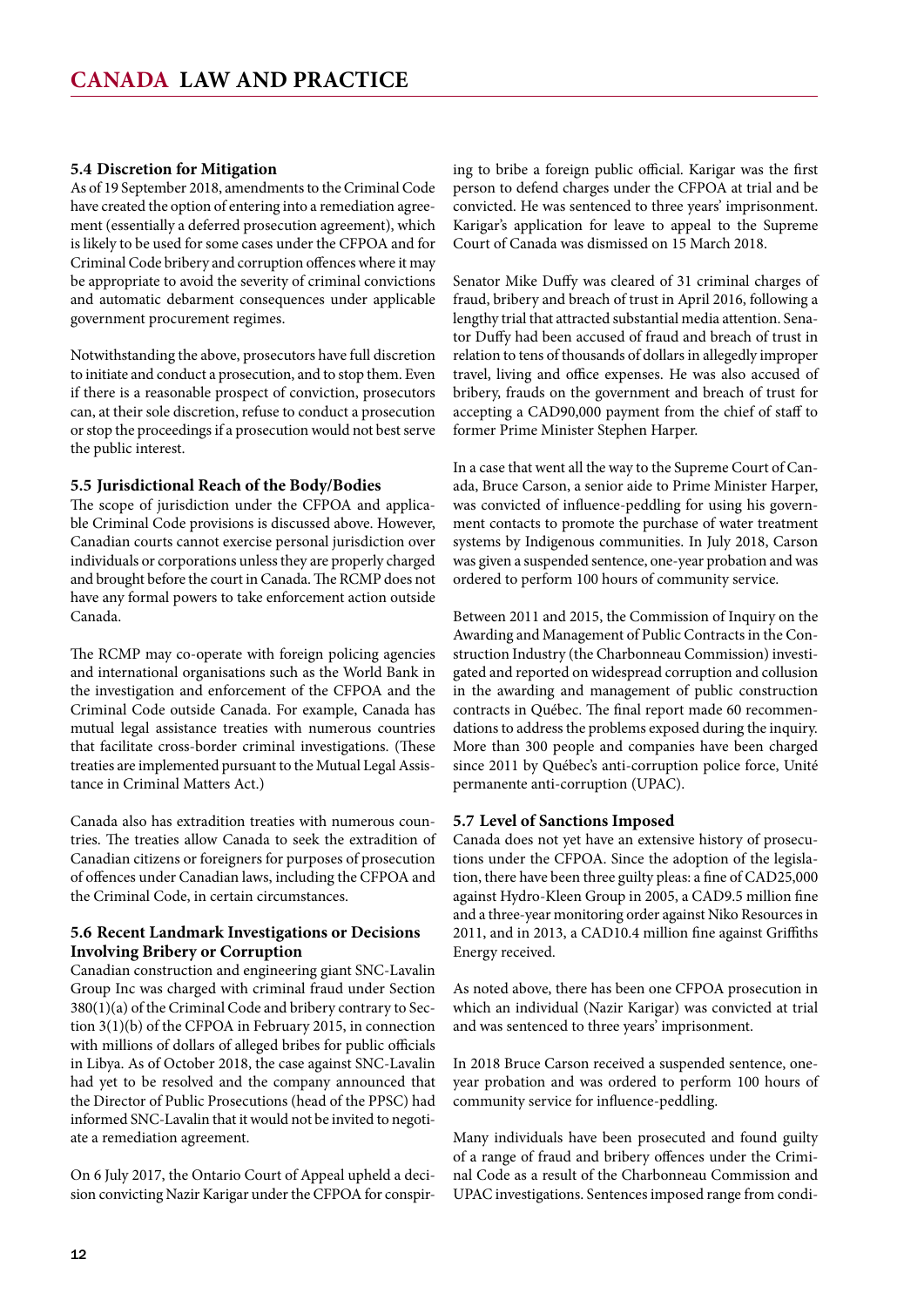#### <span id="page-11-0"></span>**5.4 Discretion for Mitigation**

As of 19 September 2018, amendments to the Criminal Code have created the option of entering into a remediation agreement (essentially a deferred prosecution agreement), which is likely to be used for some cases under the CFPOA and for Criminal Code bribery and corruption offences where it may be appropriate to avoid the severity of criminal convictions and automatic debarment consequences under applicable government procurement regimes.

Notwithstanding the above, prosecutors have full discretion to initiate and conduct a prosecution, and to stop them. Even if there is a reasonable prospect of conviction, prosecutors can, at their sole discretion, refuse to conduct a prosecution or stop the proceedings if a prosecution would not best serve the public interest.

#### **5.5 Jurisdictional Reach of the Body/Bodies**

The scope of jurisdiction under the CFPOA and applicable Criminal Code provisions is discussed above. However, Canadian courts cannot exercise personal jurisdiction over individuals or corporations unless they are properly charged and brought before the court in Canada. The RCMP does not have any formal powers to take enforcement action outside Canada.

The RCMP may co-operate with foreign policing agencies and international organisations such as the World Bank in the investigation and enforcement of the CFPOA and the Criminal Code outside Canada. For example, Canada has mutual legal assistance treaties with numerous countries that facilitate cross-border criminal investigations. (These treaties are implemented pursuant to the Mutual Legal Assistance in Criminal Matters Act.)

Canada also has extradition treaties with numerous countries. The treaties allow Canada to seek the extradition of Canadian citizens or foreigners for purposes of prosecution of offences under Canadian laws, including the CFPOA and the Criminal Code, in certain circumstances.

#### **5.6 Recent Landmark Investigations or Decisions Involving Bribery or Corruption**

Canadian construction and engineering giant SNC-Lavalin Group Inc was charged with criminal fraud under Section 380(1)(a) of the Criminal Code and bribery contrary to Section 3(1)(b) of the CFPOA in February 2015, in connection with millions of dollars of alleged bribes for public officials in Libya. As of October 2018, the case against SNC-Lavalin had yet to be resolved and the company announced that the Director of Public Prosecutions (head of the PPSC) had informed SNC-Lavalin that it would not be invited to negotiate a remediation agreement.

On 6 July 2017, the Ontario Court of Appeal upheld a decision convicting Nazir Karigar under the CFPOA for conspiring to bribe a foreign public official. Karigar was the first person to defend charges under the CFPOA at trial and be convicted. He was sentenced to three years' imprisonment. Karigar's application for leave to appeal to the Supreme Court of Canada was dismissed on 15 March 2018.

Senator Mike Duffy was cleared of 31 criminal charges of fraud, bribery and breach of trust in April 2016, following a lengthy trial that attracted substantial media attention. Senator Duffy had been accused of fraud and breach of trust in relation to tens of thousands of dollars in allegedly improper travel, living and office expenses. He was also accused of bribery, frauds on the government and breach of trust for accepting a CAD90,000 payment from the chief of staff to former Prime Minister Stephen Harper.

In a case that went all the way to the Supreme Court of Canada, Bruce Carson, a senior aide to Prime Minister Harper, was convicted of influence-peddling for using his government contacts to promote the purchase of water treatment systems by Indigenous communities. In July 2018, Carson was given a suspended sentence, one-year probation and was ordered to perform 100 hours of community service.

Between 2011 and 2015, the Commission of Inquiry on the Awarding and Management of Public Contracts in the Construction Industry (the Charbonneau Commission) investigated and reported on widespread corruption and collusion in the awarding and management of public construction contracts in Québec. The final report made 60 recommendations to address the problems exposed during the inquiry. More than 300 people and companies have been charged since 2011 by Québec's anti-corruption police force, Unité permanente anti-corruption (UPAC).

#### **5.7 Level of Sanctions Imposed**

Canada does not yet have an extensive history of prosecutions under the CFPOA. Since the adoption of the legislation, there have been three guilty pleas: a fine of CAD25,000 against Hydro-Kleen Group in 2005, a CAD9.5 million fine and a three-year monitoring order against Niko Resources in 2011, and in 2013, a CAD10.4 million fine against Griffiths Energy received.

As noted above, there has been one CFPOA prosecution in which an individual (Nazir Karigar) was convicted at trial and was sentenced to three years' imprisonment.

In 2018 Bruce Carson received a suspended sentence, oneyear probation and was ordered to perform 100 hours of community service for influence-peddling.

Many individuals have been prosecuted and found guilty of a range of fraud and bribery offences under the Criminal Code as a result of the Charbonneau Commission and UPAC investigations. Sentences imposed range from condi